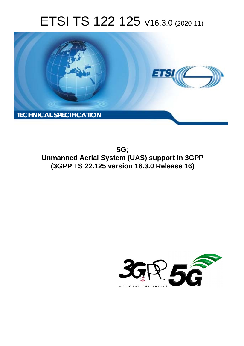# ETSI TS 122 125 V16.3.0 (2020-11)



**5G; Unmanned Aerial System (UAS) support in 3GPP (3GPP TS 22.125 version 16.3.0 Release 16)** 

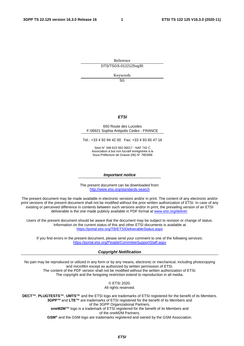Reference DTS/TSGS-0122125vg30

Keywords

5G

#### *ETSI*

#### 650 Route des Lucioles F-06921 Sophia Antipolis Cedex - FRANCE

Tel.: +33 4 92 94 42 00 Fax: +33 4 93 65 47 16

Siret N° 348 623 562 00017 - NAF 742 C Association à but non lucratif enregistrée à la Sous-Préfecture de Grasse (06) N° 7803/88

#### *Important notice*

The present document can be downloaded from: <http://www.etsi.org/standards-search>

The present document may be made available in electronic versions and/or in print. The content of any electronic and/or print versions of the present document shall not be modified without the prior written authorization of ETSI. In case of any existing or perceived difference in contents between such versions and/or in print, the prevailing version of an ETSI deliverable is the one made publicly available in PDF format at [www.etsi.org/deliver](http://www.etsi.org/deliver).

Users of the present document should be aware that the document may be subject to revision or change of status. Information on the current status of this and other ETSI documents is available at <https://portal.etsi.org/TB/ETSIDeliverableStatus.aspx>

If you find errors in the present document, please send your comment to one of the following services: <https://portal.etsi.org/People/CommiteeSupportStaff.aspx>

#### *Copyright Notification*

No part may be reproduced or utilized in any form or by any means, electronic or mechanical, including photocopying and microfilm except as authorized by written permission of ETSI. The content of the PDF version shall not be modified without the written authorization of ETSI. The copyright and the foregoing restriction extend to reproduction in all media.

> © ETSI 2020. All rights reserved.

**DECT™**, **PLUGTESTS™**, **UMTS™** and the ETSI logo are trademarks of ETSI registered for the benefit of its Members. **3GPP™** and **LTE™** are trademarks of ETSI registered for the benefit of its Members and of the 3GPP Organizational Partners. **oneM2M™** logo is a trademark of ETSI registered for the benefit of its Members and of the oneM2M Partners. **GSM®** and the GSM logo are trademarks registered and owned by the GSM Association.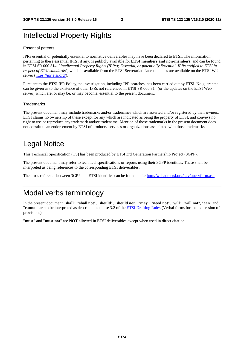# Intellectual Property Rights

#### Essential patents

IPRs essential or potentially essential to normative deliverables may have been declared to ETSI. The information pertaining to these essential IPRs, if any, is publicly available for **ETSI members and non-members**, and can be found in ETSI SR 000 314: *"Intellectual Property Rights (IPRs); Essential, or potentially Essential, IPRs notified to ETSI in respect of ETSI standards"*, which is available from the ETSI Secretariat. Latest updates are available on the ETSI Web server [\(https://ipr.etsi.org/](https://ipr.etsi.org/)).

Pursuant to the ETSI IPR Policy, no investigation, including IPR searches, has been carried out by ETSI. No guarantee can be given as to the existence of other IPRs not referenced in ETSI SR 000 314 (or the updates on the ETSI Web server) which are, or may be, or may become, essential to the present document.

#### **Trademarks**

The present document may include trademarks and/or tradenames which are asserted and/or registered by their owners. ETSI claims no ownership of these except for any which are indicated as being the property of ETSI, and conveys no right to use or reproduce any trademark and/or tradename. Mention of those trademarks in the present document does not constitute an endorsement by ETSI of products, services or organizations associated with those trademarks.

# Legal Notice

This Technical Specification (TS) has been produced by ETSI 3rd Generation Partnership Project (3GPP).

The present document may refer to technical specifications or reports using their 3GPP identities. These shall be interpreted as being references to the corresponding ETSI deliverables.

The cross reference between 3GPP and ETSI identities can be found under<http://webapp.etsi.org/key/queryform.asp>.

# Modal verbs terminology

In the present document "**shall**", "**shall not**", "**should**", "**should not**", "**may**", "**need not**", "**will**", "**will not**", "**can**" and "**cannot**" are to be interpreted as described in clause 3.2 of the [ETSI Drafting Rules](https://portal.etsi.org/Services/editHelp!/Howtostart/ETSIDraftingRules.aspx) (Verbal forms for the expression of provisions).

"**must**" and "**must not**" are **NOT** allowed in ETSI deliverables except when used in direct citation.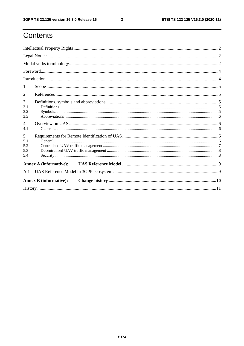# Contents

| 1                             |  |  |  |  |  |
|-------------------------------|--|--|--|--|--|
| 2                             |  |  |  |  |  |
| 3<br>3.1<br>3.2<br>3.3        |  |  |  |  |  |
| $\overline{4}$<br>4.1         |  |  |  |  |  |
| 5<br>5.1<br>5.2<br>5.3<br>5.4 |  |  |  |  |  |
|                               |  |  |  |  |  |
| A.1                           |  |  |  |  |  |
| <b>Annex B</b> (informative): |  |  |  |  |  |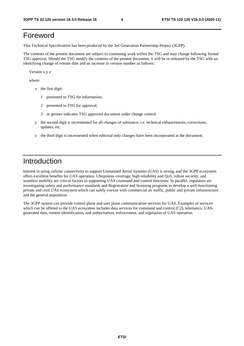# Foreword

This Technical Specification has been produced by the 3rd Generation Partnership Project (3GPP).

The contents of the present document are subject to continuing work within the TSG and may change following formal TSG approval. Should the TSG modify the contents of the present document, it will be re-released by the TSG with an identifying change of release date and an increase in version number as follows:

Version x.y.z

where:

- x the first digit:
	- 1 presented to TSG for information;
	- 2 presented to TSG for approval;
	- 3 or greater indicates TSG approved document under change control.
- y the second digit is incremented for all changes of substance, i.e. technical enhancements, corrections, updates, etc.
- z the third digit is incremented when editorial only changes have been incorporated in the document.

#### Introduction

Interest in using cellular connectivity to support Unmanned Aerial Systems (UAS) is strong, and the 3GPP ecosystem offers excellent benefits for UAS operation. Ubiquitous coverage, high reliability and QoS, robust security, and seamless mobility are critical factors to supporting UAS command and control functions. In parallel, regulators are investigating safety and performance standards and Registration and licensing programs to develop a well-functioning private and civil UAS ecosystem which can safely coexist with commercial air traffic, public and private infrastructure, and the general population.

The 3GPP system can provide control plane and user plane communication services for UAS. Examples of services which can be offered to the UAS ecosystem includes data services for command and control (C2), telematics, UASgenerated data, remote identification, and authorisation, enforcement, and regulation of UAS operation.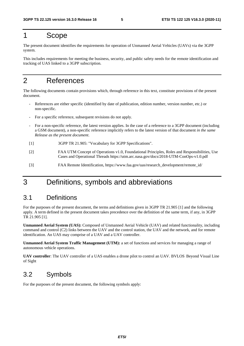### 1 Scope

The present document identifies the requirements for operation of Unmanned Aerial Vehicles (UAVs) via the 3GPP system.

This includes requirements for meeting the business, security, and public safety needs for the remote identification and tracking of UAS linked to a 3GPP subscription.

# 2 References

The following documents contain provisions which, through reference in this text, constitute provisions of the present document.

- References are either specific (identified by date of publication, edition number, version number, etc.) or non-specific.
- For a specific reference, subsequent revisions do not apply.
- For a non-specific reference, the latest version applies. In the case of a reference to a 3GPP document (including a GSM document), a non-specific reference implicitly refers to the latest version of that document *in the same Release as the present document*.
- [1] 3GPP TR 21.905: "Vocabulary for 3GPP Specifications".
- [2] FAA UTM Concept of Operations v1.0, Foundational Principles, Roles and Responsibilities, Use Cases and Operational Threads https://utm.arc.nasa.gov/docs/2018-UTM-ConOps-v1.0.pdf
- [3] FAA Remote Identification, https://www.faa.gov/uas/research\_development/remote\_id/

# 3 Definitions, symbols and abbreviations

#### 3.1 Definitions

For the purposes of the present document, the terms and definitions given in 3GPP TR 21.905 [1] and the following apply. A term defined in the present document takes precedence over the definition of the same term, if any, in 3GPP TR 21.905 [1].

**Unmanned Aerial System (UAS):** Composed of Unmanned Aerial Vehicle (UAV) and related functionality, including command and control (C2) links between the UAV and the control station, the UAV and the network, and for remote identification. An UAS may comprise of a UAV and a UAV controller.

**Unmanned Aerial System Traffic Management (UTM):** a set of functions and services for managing a range of autonomous vehicle operations.

**UAV controller**: The UAV controller of a UAS enables a drone pilot to control an UAV. BVLOS Beyond Visual Line of Sight

### 3.2 Symbols

For the purposes of the present document, the following symbols apply: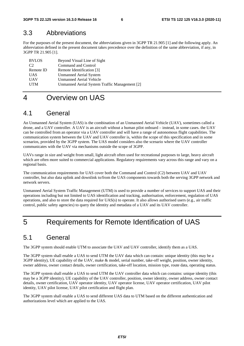#### 3.3 Abbreviations

For the purposes of the present document, the abbreviations given in 3GPP TR 21.905 [1] and the following apply. An abbreviation defined in the present document takes precedence over the definition of the same abbreviation, if any, in 3GPP TR 21.905 [1].

| <b>BVLOS</b> | Beyond Visual Line of Sight                   |
|--------------|-----------------------------------------------|
| C2           | Command and Control                           |
| Remote ID    | Remote Identification [3]                     |
| <b>UAS</b>   | <b>Unmanned Aerial System</b>                 |
| <b>UAV</b>   | Unmanned Aerial Vehicle                       |
| <b>UTM</b>   | Unmanned Aerial System Traffic Management [2] |

### 4 Overview on UAS

### 4.1 General

An Unmanned Aerial System (UAS) is the combination of an Unmanned Aerial Vehicle (UAV), sometimes called a drone, and a UAV controller. A UAV is an aircraft without a human pilot onboard – instead, in some cases. the UAV can be controlled from an operator via a UAV controller and will have a range of autonomous flight capabilities. The communication system between the UAV and UAV controller is, within the scope of this specification and in some scenarios, provided by the 3GPP system. The UAS model considers also the scenario where the UAV controller communicates with the UAV via mechanisms outside the scope of 3GPP.

UAVs range in size and weight from small, light aircraft often used for recreational purposes to large, heavy aircraft which are often more suited to commercial applications. Regulatory requirements vary across this range and vary on a regional basis.

The communication requirements for UAS cover both the Command and Control (C2) between UAV and UAV controller, but also data uplink and downlink to/from the UAS components towards both the serving 3GPP network and network servers.

Unmanned Aerial System Traffic Management (UTM) is used to provide a number of services to support UAS and their operations including but not limited to UAS identification and tracking, authorisation, enforcement, regulation of UAS operations, and also to store the data required for UAS(s) to operate. It also allows authorised users (e.g., air traffic control, public safety agencies) to query the identity and metadata of a UAV and its UAV controller.

# 5 Requirements for Remote Identification of UAS

### 5.1 General

The 3GPP system should enable UTM to associate the UAV and UAV controller, identify them as a UAS.

The 3GPP system shall enable a UAS to send UTM the UAV data which can contain: unique identity (this may be a 3GPP identity), UE capability of the UAV, make & model, serial number, take-off weight, position, owner identity, owner address, owner contact details, owner certification, take-off location, mission type, route data, operating status.

The 3GPP system shall enable a UAS to send UTM the UAV controller data which can contains: unique identity (this may be a 3GPP identity), UE capability of the UAV controller, position, owner identity, owner address, owner contact details, owner certification, UAV operator identity, UAV operator license, UAV operator certification, UAV pilot identity, UAV pilot license, UAV pilot certification and flight plan.

The 3GPP system shall enable a UAS to send different UAS data to UTM based on the different authentication and authorizations level which are applied to the UAS.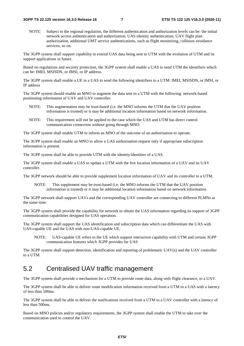NOTE: Subject to the regional regulation, the different authentication and authorization levels can be: the initial network access authentication and authorization, UAS identity authentication, UAV flight plan authorization, additional UMT service authentications, such as flight monitoring, collision avoidance services, so on.

The 3GPP system shall support capability to extend UAS data being sent to UTM with the evolution of UTM and its support applications in future.

Based on regulations and security protection, the 3GPP system shall enable a UAS to send UTM the identifiers which can be: IMEI, MSISDN, or IMSI, or IP address.

The 3GPP system shall enable a UE in a UAS to send the following identifiers to a UTM: IMEI, MSISDN, or IMSI, or IP address

The 3GPP system should enable an MNO to augment the data sent to a UTM with the following: network-based positioning information of UAV and UAV controller.

- NOTE: This augmentation may be trust-based (i.e. the MNO informs the UTM that the UAV position information is trusted) or it may be additional location information based on network information.
- NOTE: This requirement will not be applied to the case which the UAS and UTM has direct control communication connection without going through MNO.

The 3GPP system shall enable UTM to inform an MNO of the outcome of an authorisation to operate.

The 3GPP system shall enable an MNO to allow a UAS authorisation request only if appropriate subscription information is present.

The 3GPP system shall be able to provide UTM with the identity/identities of a UAS.

The 3GPP system shall enable a UAS to update a UTM with the live location information of a UAV and its UAV controller.

The 3GPP network should be able to provide supplement location information of UAV and its controller to a UTM.

 NOTE: This supplement may be trust-based (i.e. the MNO informs the UTM that the UAV position information is trusted) or it may be additional location information based on network information.

The 3GPP network shall support UAVs and the corresponding UAV controller are connecting to different PLMNs at the same time.

The 3GPP system shall provide the capability for network to obtain the UAS information regarding its support of 3GPP communication capabilities designed for UAS operation.

The 3GPP system shall support the UAS identification and subscription data which can differentiate the UAS with UAS-capable UE and the UAS with non-UAS-capable UE.

 NOTE: UAS-capable UE refers to the UE which support interaction capability with UTM and certain 3GPP communication features which 3GPP provides for UAS

The 3GPP system shall support detection, identification and reporting of problematic UAV(s) and the UAV controller to a UTM.

### 5.2 Centralised UAV traffic management

The 3GPP system shall provide a mechanism for a UTM to provide route data, along with flight clearance, to a UAV.

The 3GPP system shall be able to deliver route modification information received from a UTM to a UAS with a latency of less than 500ms.

The 3GPP system shall be able to deliver the notifications received from a UTM to a UAV controller with a latency of less than 500ms.

Based on MNO policies and/or regulatory requirements, the 3GPP system shall enable the UTM to take over the communication used to control the UAV.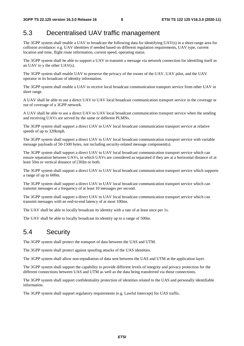#### 5.3 Decentralised UAV traffic management

The 3GPP system shall enable a UAV to broadcast the following data for identifying UAV(s) in a short-range area for collision avoidance: e.g. UAV identities if needed based on different regulation requirements, UAV type, current location and time, flight route information, current speed, operating status.

The 3GPP system shall be able to support a UAV to transmit a message via network connection for identifing itself as an UAV to y the other UAV(s).

The 3GPP system shall enable UAV to preserve the privacy of the owner of the UAV, UAV pilot, and the UAV operator in its broadcast of identity information.

The 3GPP system shall enable a UAV to receive local broadcast communication transport service from other UAV in short range.

A UAV shall be able to use a direct UAV to UAV local broadcast communication transport service in the coverage or out of coverage of a 3GPP network.

A UAV shall be able to use a direct UAV to UAV local broadcast communication transport service when the sending and receiving UAVs are served by the same or different PLMNs.

The 3GPP system shall support a direct UAV to UAV local broadcast communication transport service at relative speeds of up to 320kmph.

The 3GPP system shall support a direct UAV to UAV local broadcast communication transport service with variable message payloads of 50-1500 bytes, not including security-related message component(s).

The 3GPP system shall support a direct UAV to UAV local broadcast communication transport service which can ensure separation between UAVs, in which UAVs are considered as separated if they are at a horizontal distance of at least 50m or vertical distance of [30]m or both.

The 3GPP system shall support a direct UAV to UAV local broadcast communication transport service which supports a range of up to 600m.

The 3GPP system shall support a direct UAV to UAV local broadcast communication transport service which can transmit messages at a frequency of at least 10 messages per second.

The 3GPP system shall support a direct UAV to UAV local broadcast communication transport service which can transmit messages with an end-to-end latency of at most 100ms.

The UAV shall be able to locally broadcast its identity with a rate of at least once per 1s.

The UAV shall be able to locally broadcast its identity up to a range of 500m.

### 5.4 Security

The 3GPP system shall protect the transport of data between the UAS and UTM.

The 3GPP system shall protect against spoofing attacks of the UAS identities.

The 3GPP system shall allow non-repudiation of data sent between the UAS and UTM at the application layer.

The 3GPP system shall support the capability to provide different levels of integrity and privacy protection for the different connections between UAS and UTM as well as the data being transferred via those connections.

The 3GPP system shall support confidentiality protection of identities related to the UAS and personally identifiable information.

The 3GPP system shall support regulatory requirements (e.g. Lawful Intercept) for UAS traffic.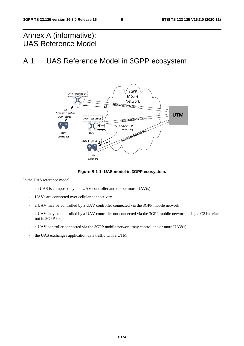# Annex A (informative): UAS Reference Model

# A.1 UAS Reference Model in 3GPP ecosystem



**Figure B.1-1: UAS model in 3GPP ecosystem.** 

In the UAS reference model:

- an UAS is composed by one UAV controller and one or more UAV(s)
- UAVs are connected over cellular connectivity
- a UAV may be controlled by a UAV controller connected via the 3GPP mobile network
- a UAV may be controlled by a UAV controller not connected via the 3GPP mobile network, using a C2 interface not in 3GPP scope
- a UAV controller connected via the 3GPP mobile network may control one or more  $UAV(s)$
- the UAS exchanges application data traffic with a UTM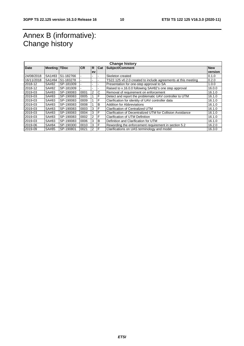# Annex B (informative): Change history

| <b>Date</b> | <b>Meeting TDoc</b> |           | <b>ICR</b> | R.             | Cat | Subject/Comment                                               | <b>New</b> |
|-------------|---------------------|-----------|------------|----------------|-----|---------------------------------------------------------------|------------|
|             |                     |           |            | ev             |     |                                                               | version    |
| 24/08/2018  | SA1#83              | S1-182766 |            |                |     | Skeleton created                                              | 0.1.0      |
| 16/11/2018  | SA1#84              | S1-183278 |            |                |     | TS22.125 v0.2.0 created to include agreements at this meeting | 0.2.0      |
| 2018-12     | SA#82               | SP-181009 |            |                |     | Presentation for one-step approval to SA                      | 1.0.0      |
| 2018-12     | SA#82               | SP-181009 |            |                |     | Raised to v.16.0.0 following SA#82's one step approval        | 16.0.0     |
| 2019-03     | SA#83               | SP-190083 | 0001       | $\overline{2}$ | C   | Removal of requirement on enforcement                         | 16.1.0     |
| 2019-03     | SA#83               | SP-190083 | 0005       |                | F   | Detect and report the problematic UAV controller to UTM       | 16.1.0     |
| 2019-03     | SA#83               | SP-190083 | 0009       |                | F   | Clarification for identity of UAV controller data             | 16.1.0     |
| 2019-03     | SA#83               | SP-190083 | 0008       |                | B   | <b>Addition for Abbreviations</b>                             | 16.1.0     |
| 2019-03     | SA#83               | SP-190083 | 0003       | 3              | F   | <b>Clarification of Centralized UTM</b>                       | 16.1.0     |
| 2019-03     | SA#83               | SP-190083 | 0004       | 3              | F   | Clarification of Decentralized UTM for Collision Avoidance    | 16.1.0     |
| 2019-03     | SA#83               | SP-190083 | 0002       | 2              | F   | <b>Clarification of UTM Definition</b>                        | 16.1.0     |
| 2019-03     | SA#83               | SP-190083 | 0006       | 3              | B   | Definition and Clarification for UTM                          | 16.1.0     |
| 2019-06     | SA#84               | SP-190300 | 0010       | 3              | F   | Rewording the enforcement requirement in section 5.2          | 16.2.0     |
| 2019-09     | SA#85               | SP-190801 | 0021       | 2              | F   | Clarifications on UAS terminology and model                   | 16.3.0     |